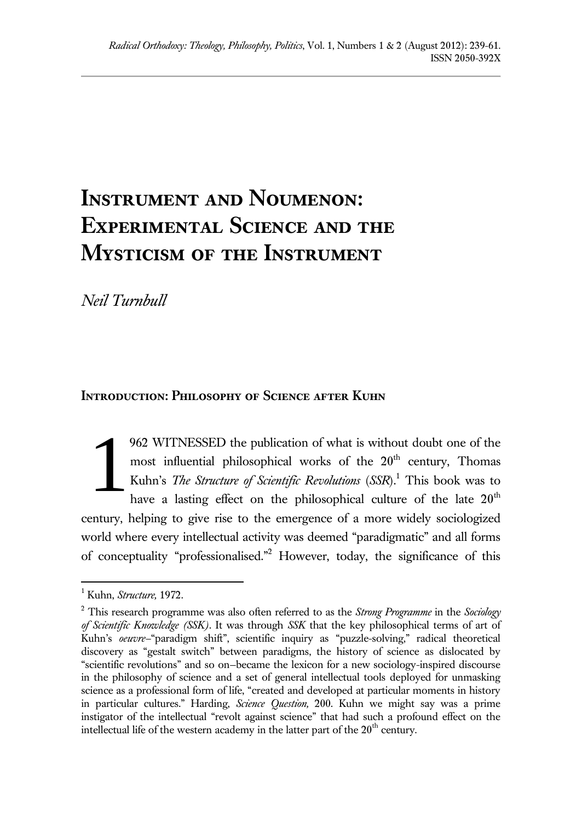# **Instrument and Noumenon: Experimental Science and the Mysticism of the Instrument**

*Neil Turnbull*

### **Introduction: Philosophy of Science after Kuhn**

962 WITNESSED the publication of what is without doubt one of the most influential philosophical works of the  $20<sup>th</sup>$  century, Thomas Kuhn's *The Structure of Scientific Revolutions* (*SSR*). <sup>1</sup> This book was to have a lasting effect on the philosophical culture of the late  $20<sup>th</sup>$ century, helping to give rise to the emergence of a more widely sociologized world where every intellectual activity was deemed "paradigmatic" and all forms of conceptuality "professionalised." <sup>2</sup> However, today, the significance of this 1

<sup>1</sup> Kuhn, *Structure,* 1972.

<sup>2</sup> This research programme was also often referred to as the *Strong Programme* in the *Sociology of Scientific Knowledge (SSK)*. It was through *SSK* that the key philosophical terms of art of Kuhn's *oeuvre—*"paradigm shift", scientific inquiry as "puzzle-solving," radical theoretical discovery as "gestalt switch" between paradigms, the history of science as dislocated by "scientific revolutions" and so on—became the lexicon for a new sociology-inspired discourse in the philosophy of science and a set of general intellectual tools deployed for unmasking science as a professional form of life, "created and developed at particular moments in history in particular cultures." Harding, *Science Question,* 200. Kuhn we might say was a prime instigator of the intellectual "revolt against science" that had such a profound effect on the intellectual life of the western academy in the latter part of the  $20<sup>th</sup>$  century.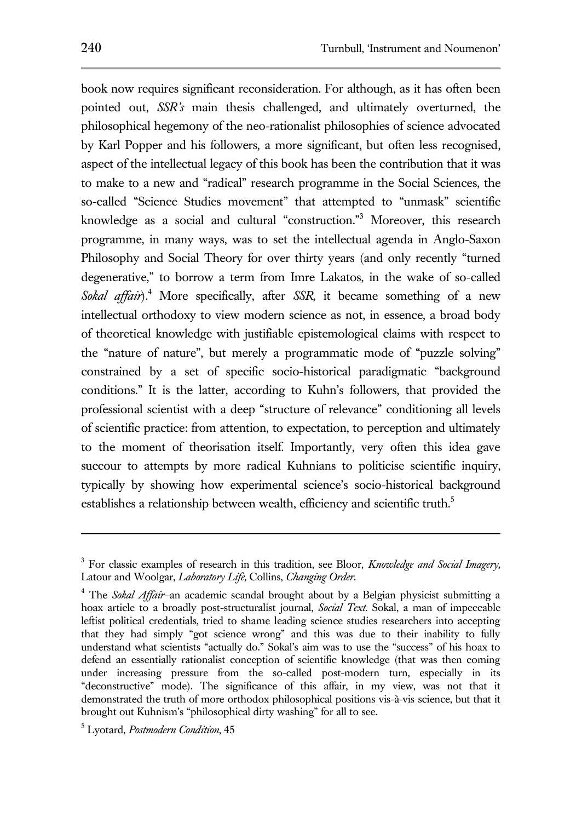book now requires significant reconsideration. For although, as it has often been pointed out, *SSR's* main thesis challenged, and ultimately overturned, the philosophical hegemony of the neo-rationalist philosophies of science advocated by Karl Popper and his followers, a more significant, but often less recognised, aspect of the intellectual legacy of this book has been the contribution that it was to make to a new and "radical" research programme in the Social Sciences, the so-called "Science Studies movement" that attempted to "unmask" scientific knowledge as a social and cultural "construction."<sup>3</sup> Moreover, this research programme, in many ways, was to set the intellectual agenda in Anglo-Saxon Philosophy and Social Theory for over thirty years (and only recently "turned degenerative," to borrow a term from Imre Lakatos, in the wake of so-called *Sokal affair*). <sup>4</sup> More specifically, after *SSR,* it became something of a new intellectual orthodoxy to view modern science as not, in essence, a broad body of theoretical knowledge with justifiable epistemological claims with respect to the "nature of nature", but merely a programmatic mode of "puzzle solving" constrained by a set of specific socio-historical paradigmatic "background conditions." It is the latter, according to Kuhn's followers, that provided the professional scientist with a deep "structure of relevance" conditioning all levels of scientific practice: from attention, to expectation, to perception and ultimately to the moment of theorisation itself. Importantly, very often this idea gave succour to attempts by more radical Kuhnians to politicise scientific inquiry, typically by showing how experimental science's socio-historical background establishes a relationship between wealth, efficiency and scientific truth.<sup>5</sup>

<sup>3</sup> For classic examples of research in this tradition, see Bloor, *Knowledge and Social Imagery,*  Latour and Woolgar, *Laboratory Life,* Collins, *Changing Order.*

<sup>4</sup> The *Sokal Affair—*an academic scandal brought about by a Belgian physicist submitting a hoax article to a broadly post-structuralist journal, *Social Text.* Sokal, a man of impeccable leftist political credentials, tried to shame leading science studies researchers into accepting that they had simply "got science wrong" and this was due to their inability to fully understand what scientists "actually do." Sokal's aim was to use the "success" of his hoax to defend an essentially rationalist conception of scientific knowledge (that was then coming under increasing pressure from the so-called post-modern turn, especially in its "deconstructive" mode). The significance of this affair, in my view, was not that it demonstrated the truth of more orthodox philosophical positions vis-à-vis science, but that it brought out Kuhnism's "philosophical dirty washing" for all to see.

<sup>5</sup> Lyotard, *Postmodern Condition*, 45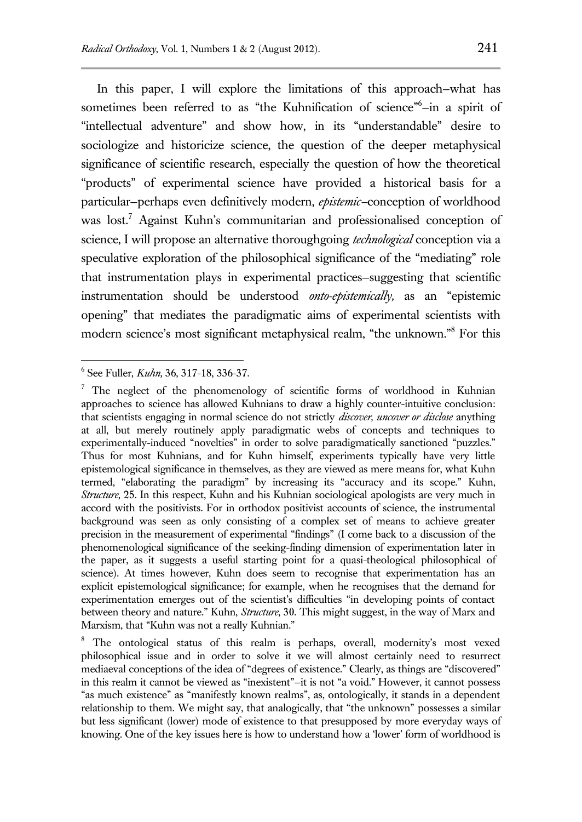In this paper, I will explore the limitations of this approach—what has sometimes been referred to as "the Kuhnification of science"<sup>6</sup>-in a spirit of "intellectual adventure" and show how, in its "understandable" desire to sociologize and historicize science, the question of the deeper metaphysical significance of scientific research, especially the question of how the theoretical "products" of experimental science have provided a historical basis for a particular—perhaps even definitively modern, *epistemic—*conception of worldhood was lost.<sup>7</sup> Against Kuhn's communitarian and professionalised conception of science, I will propose an alternative thoroughgoing *technological* conception via a speculative exploration of the philosophical significance of the "mediating" role that instrumentation plays in experimental practices—suggesting that scientific instrumentation should be understood *onto-epistemically,* as an "epistemic opening" that mediates the paradigmatic aims of experimental scientists with modern science's most significant metaphysical realm, "the unknown."<sup>8</sup> For this

 6 See Fuller, *Kuhn,* 36, 317-18, 336-37*.* 

 $7$  The neglect of the phenomenology of scientific forms of worldhood in Kuhnian approaches to science has allowed Kuhnians to draw a highly counter-intuitive conclusion: that scientists engaging in normal science do not strictly *discover, uncover or disclose* anything at all, but merely routinely apply paradigmatic webs of concepts and techniques to experimentally-induced "novelties" in order to solve paradigmatically sanctioned "puzzles." Thus for most Kuhnians, and for Kuhn himself, experiments typically have very little epistemological significance in themselves, as they are viewed as mere means for, what Kuhn termed, "elaborating the paradigm" by increasing its "accuracy and its scope." Kuhn, *Structure*, 25. In this respect, Kuhn and his Kuhnian sociological apologists are very much in accord with the positivists. For in orthodox positivist accounts of science, the instrumental background was seen as only consisting of a complex set of means to achieve greater precision in the measurement of experimental "findings" (I come back to a discussion of the phenomenological significance of the seeking-finding dimension of experimentation later in the paper, as it suggests a useful starting point for a quasi-theological philosophical of science). At times however, Kuhn does seem to recognise that experimentation has an explicit epistemological significance; for example, when he recognises that the demand for experimentation emerges out of the scientist's difficulties "in developing points of contact between theory and nature." Kuhn, *Structure*, 30. This might suggest, in the way of Marx and Marxism, that "Kuhn was not a really Kuhnian."

<sup>&</sup>lt;sup>8</sup> The ontological status of this realm is perhaps, overall, modernity's most vexed philosophical issue and in order to solve it we will almost certainly need to resurrect mediaeval conceptions of the idea of "degrees of existence." Clearly, as things are "discovered" in this realm it cannot be viewed as "inexistent"—it is not "a void." However, it cannot possess "as much existence" as "manifestly known realms", as, ontologically, it stands in a dependent relationship to them. We might say, that analogically, that "the unknown" possesses a similar but less significant (lower) mode of existence to that presupposed by more everyday ways of knowing. One of the key issues here is how to understand how a 'lower' form of worldhood is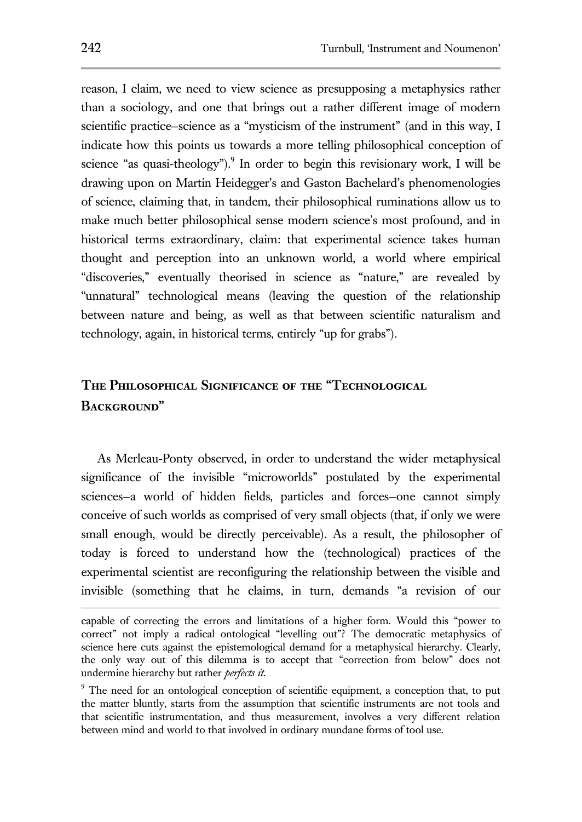reason, I claim, we need to view science as presupposing a metaphysics rather than a sociology, and one that brings out a rather different image of modern scientific practice—science as a "mysticism of the instrument" (and in this way, I indicate how this points us towards a more telling philosophical conception of science "as quasi-theology").<sup>9</sup> In order to begin this revisionary work, I will be drawing upon on Martin Heidegger's and Gaston Bachelard's phenomenologies of science, claiming that, in tandem, their philosophical ruminations allow us to make much better philosophical sense modern science's most profound, and in historical terms extraordinary, claim: that experimental science takes human thought and perception into an unknown world, a world where empirical "discoveries," eventually theorised in science as "nature," are revealed by "unnatural" technological means (leaving the question of the relationship between nature and being, as well as that between scientific naturalism and technology, again, in historical terms, entirely "up for grabs").

# **The Philosophical Significance of the "Technological Background"**

As Merleau-Ponty observed, in order to understand the wider metaphysical significance of the invisible "microworlds" postulated by the experimental sciences—a world of hidden fields, particles and forces—one cannot simply conceive of such worlds as comprised of very small objects (that, if only we were small enough, would be directly perceivable). As a result, the philosopher of today is forced to understand how the (technological) practices of the experimental scientist are reconfiguring the relationship between the visible and invisible (something that he claims, in turn, demands "a revision of our

capable of correcting the errors and limitations of a higher form. Would this "power to correct" not imply a radical ontological "levelling out"? The democratic metaphysics of science here cuts against the epistemological demand for a metaphysical hierarchy. Clearly, the only way out of this dilemma is to accept that "correction from below" does not undermine hierarchy but rather *perfects it*.

<sup>&</sup>lt;sup>9</sup> The need for an ontological conception of scientific equipment, a conception that, to put the matter bluntly, starts from the assumption that scientific instruments are not tools and that scientific instrumentation, and thus measurement, involves a very different relation between mind and world to that involved in ordinary mundane forms of tool use.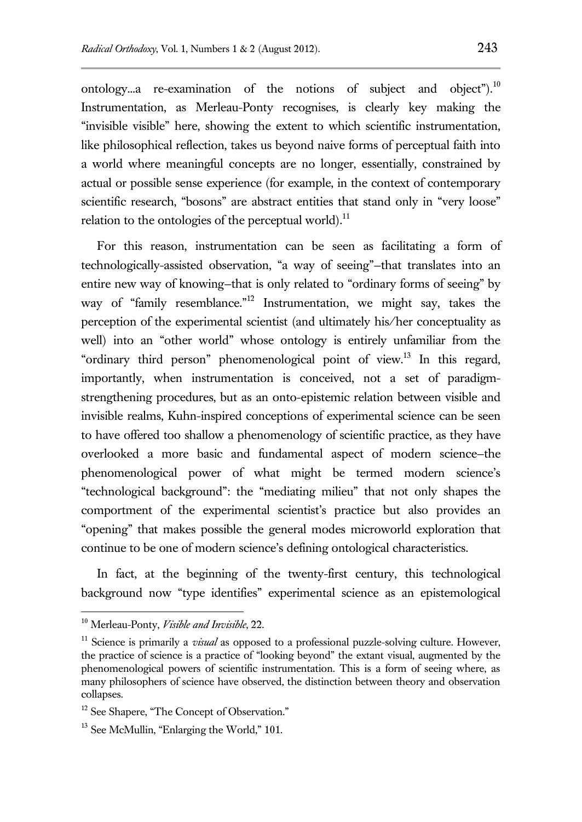ontology...a re-examination of the notions of subject and object").<sup>10</sup> Instrumentation, as Merleau-Ponty recognises, is clearly key making the "invisible visible" here, showing the extent to which scientific instrumentation, like philosophical reflection, takes us beyond naive forms of perceptual faith into a world where meaningful concepts are no longer, essentially, constrained by actual or possible sense experience (for example, in the context of contemporary scientific research, "bosons" are abstract entities that stand only in "very loose" relation to the ontologies of the perceptual world).<sup>11</sup>

For this reason, instrumentation can be seen as facilitating a form of technologically-assisted observation, "a way of seeing"—that translates into an entire new way of knowing—that is only related to "ordinary forms of seeing" by way of "family resemblance."<sup>12</sup> Instrumentation, we might say, takes the perception of the experimental scientist (and ultimately his/her conceptuality as well) into an "other world" whose ontology is entirely unfamiliar from the "ordinary third person" phenomenological point of view.<sup>13</sup> In this regard, importantly, when instrumentation is conceived, not a set of paradigmstrengthening procedures, but as an onto-epistemic relation between visible and invisible realms, Kuhn-inspired conceptions of experimental science can be seen to have offered too shallow a phenomenology of scientific practice, as they have overlooked a more basic and fundamental aspect of modern science—the phenomenological power of what might be termed modern science's "technological background": the "mediating milieu" that not only shapes the comportment of the experimental scientist's practice but also provides an "opening" that makes possible the general modes microworld exploration that continue to be one of modern science's defining ontological characteristics.

In fact, at the beginning of the twenty-first century, this technological background now "type identifies" experimental science as an epistemological

<sup>10</sup> Merleau-Ponty, *Visible and Invisible*, 22.

<sup>&</sup>lt;sup>11</sup> Science is primarily a *visual* as opposed to a professional puzzle-solving culture. However, the practice of science is a practice of "looking beyond" the extant visual, augmented by the phenomenological powers of scientific instrumentation. This is a form of seeing where, as many philosophers of science have observed, the distinction between theory and observation collapses.

<sup>&</sup>lt;sup>12</sup> See Shapere, "The Concept of Observation."

<sup>&</sup>lt;sup>13</sup> See McMullin, "Enlarging the World," 101.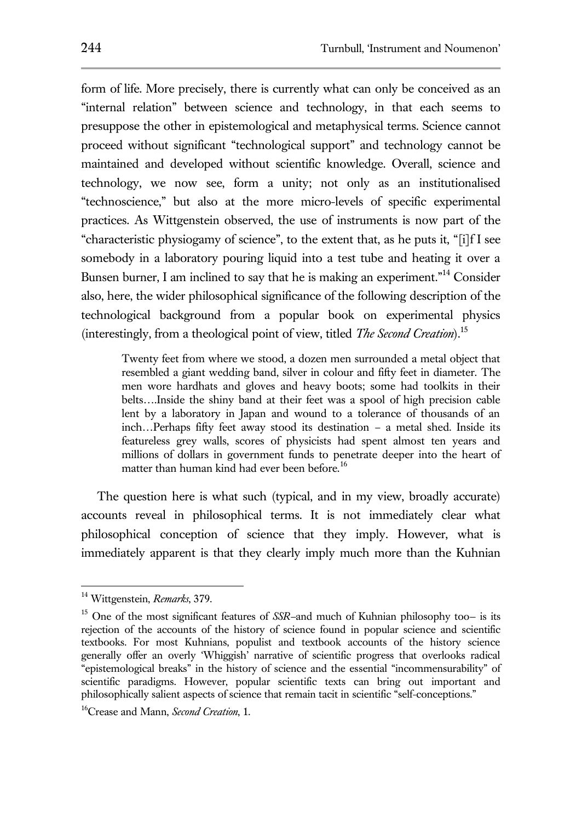form of life. More precisely, there is currently what can only be conceived as an "internal relation" between science and technology, in that each seems to presuppose the other in epistemological and metaphysical terms. Science cannot proceed without significant "technological support" and technology cannot be maintained and developed without scientific knowledge. Overall, science and technology, we now see, form a unity; not only as an institutionalised "technoscience," but also at the more micro-levels of specific experimental practices. As Wittgenstein observed, the use of instruments is now part of the "characteristic physiogamy of science", to the extent that, as he puts it, "[i]f I see somebody in a laboratory pouring liquid into a test tube and heating it over a Bunsen burner, I am inclined to say that he is making an experiment.<sup>"14</sup> Consider also, here, the wider philosophical significance of the following description of the technological background from a popular book on experimental physics (interestingly, from a theological point of view, titled *The Second Creation*)*.* 15

Twenty feet from where we stood, a dozen men surrounded a metal object that resembled a giant wedding band, silver in colour and fifty feet in diameter. The men wore hardhats and gloves and heavy boots; some had toolkits in their belts….Inside the shiny band at their feet was a spool of high precision cable lent by a laboratory in Japan and wound to a tolerance of thousands of an inch…Perhaps fifty feet away stood its destination – a metal shed. Inside its featureless grey walls, scores of physicists had spent almost ten years and millions of dollars in government funds to penetrate deeper into the heart of matter than human kind had ever been before.<sup>16</sup>

The question here is what such (typical, and in my view, broadly accurate) accounts reveal in philosophical terms. It is not immediately clear what philosophical conception of science that they imply. However, what is immediately apparent is that they clearly imply much more than the Kuhnian

<sup>14</sup> Wittgenstein, *Remarks*, 379.

<sup>15</sup> One of the most significant features of *SSR—*and much of Kuhnian philosophy too— is its rejection of the accounts of the history of science found in popular science and scientific textbooks. For most Kuhnians, populist and textbook accounts of the history science generally offer an overly 'Whiggish' narrative of scientific progress that overlooks radical "epistemological breaks" in the history of science and the essential "incommensurability" of scientific paradigms. However, popular scientific texts can bring out important and philosophically salient aspects of science that remain tacit in scientific "self-conceptions."

<sup>16</sup>Crease and Mann, *Second Creation*, 1.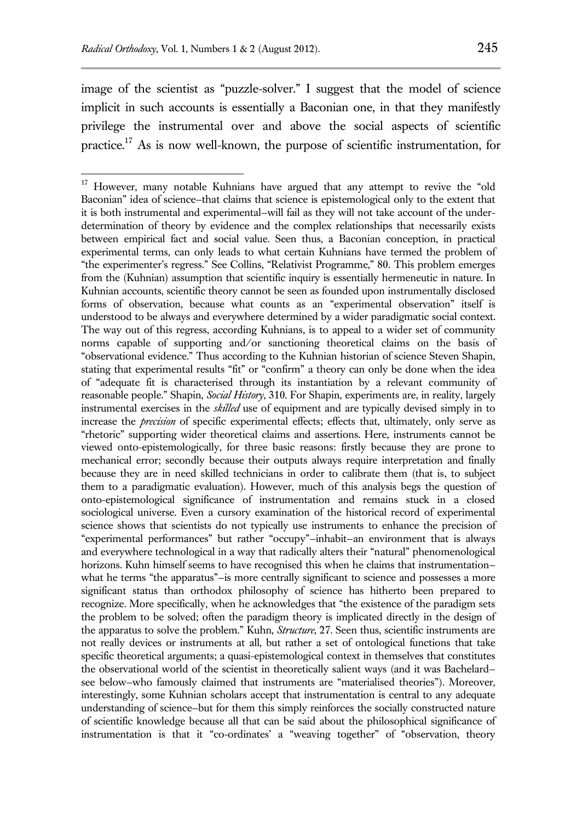$\overline{a}$ 

image of the scientist as "puzzle-solver." I suggest that the model of science implicit in such accounts is essentially a Baconian one, in that they manifestly privilege the instrumental over and above the social aspects of scientific practice.<sup>17</sup> As is now well-known, the purpose of scientific instrumentation, for

<sup>&</sup>lt;sup>17</sup> However, many notable Kuhnians have argued that any attempt to revive the "old Baconian" idea of science—that claims that science is epistemological only to the extent that it is both instrumental and experimental—will fail as they will not take account of the underdetermination of theory by evidence and the complex relationships that necessarily exists between empirical fact and social value. Seen thus, a Baconian conception, in practical experimental terms, can only leads to what certain Kuhnians have termed the problem of "the experimenter's regress." See Collins, "Relativist Programme," 80. This problem emerges from the (Kuhnian) assumption that scientific inquiry is essentially hermeneutic in nature. In Kuhnian accounts, scientific theory cannot be seen as founded upon instrumentally disclosed forms of observation, because what counts as an "experimental observation" itself is understood to be always and everywhere determined by a wider paradigmatic social context. The way out of this regress, according Kuhnians, is to appeal to a wider set of community norms capable of supporting and/or sanctioning theoretical claims on the basis of "observational evidence." Thus according to the Kuhnian historian of science Steven Shapin, stating that experimental results "fit" or "confirm" a theory can only be done when the idea of "adequate fit is characterised through its instantiation by a relevant community of reasonable people." Shapin, *Social History*, 310. For Shapin, experiments are, in reality, largely instrumental exercises in the *skilled* use of equipment and are typically devised simply in to increase the *precision* of specific experimental effects; effects that, ultimately, only serve as "rhetoric" supporting wider theoretical claims and assertions. Here, instruments cannot be viewed onto-epistemologically, for three basic reasons: firstly because they are prone to mechanical error; secondly because their outputs always require interpretation and finally because they are in need skilled technicians in order to calibrate them (that is, to subject them to a paradigmatic evaluation). However, much of this analysis begs the question of onto-epistemological significance of instrumentation and remains stuck in a closed sociological universe. Even a cursory examination of the historical record of experimental science shows that scientists do not typically use instruments to enhance the precision of "experimental performances" but rather "occupy"—inhabit—an environment that is always and everywhere technological in a way that radically alters their "natural" phenomenological horizons. Kuhn himself seems to have recognised this when he claims that instrumentation what he terms "the apparatus"—is more centrally significant to science and possesses a more significant status than orthodox philosophy of science has hitherto been prepared to recognize. More specifically, when he acknowledges that "the existence of the paradigm sets the problem to be solved; often the paradigm theory is implicated directly in the design of the apparatus to solve the problem." Kuhn, *Structure*, 27. Seen thus, scientific instruments are not really devices or instruments at all, but rather a set of ontological functions that take specific theoretical arguments; a quasi-epistemological context in themselves that constitutes the observational world of the scientist in theoretically salient ways (and it was Bachelard see below—who famously claimed that instruments are "materialised theories"). Moreover, interestingly, some Kuhnian scholars accept that instrumentation is central to any adequate understanding of science—but for them this simply reinforces the socially constructed nature of scientific knowledge because all that can be said about the philosophical significance of instrumentation is that it "co-ordinates' a "weaving together" of "observation, theory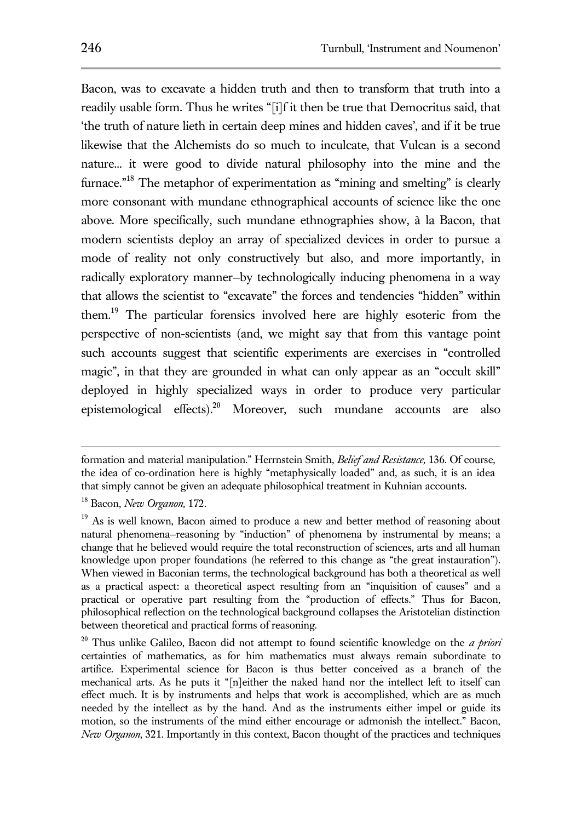Bacon, was to excavate a hidden truth and then to transform that truth into a readily usable form. Thus he writes "[i]f it then be true that Democritus said, that 'the truth of nature lieth in certain deep mines and hidden caves', and if it be true likewise that the Alchemists do so much to inculcate, that Vulcan is a second nature... it were good to divide natural philosophy into the mine and the furnace."<sup>18</sup> The metaphor of experimentation as "mining and smelting" is clearly more consonant with mundane ethnographical accounts of science like the one above. More specifically, such mundane ethnographies show, à la Bacon, that modern scientists deploy an array of specialized devices in order to pursue a mode of reality not only constructively but also, and more importantly, in radically exploratory manner—by technologically inducing phenomena in a way that allows the scientist to "excavate" the forces and tendencies "hidden" within them. <sup>19</sup> The particular forensics involved here are highly esoteric from the perspective of non-scientists (and, we might say that from this vantage point such accounts suggest that scientific experiments are exercises in "controlled magic", in that they are grounded in what can only appear as an "occult skill" deployed in highly specialized ways in order to produce very particular epistemological effects). <sup>20</sup> Moreover, such mundane accounts are also

formation and material manipulation." Herrnstein Smith, *Belief and Resistance,* 136. Of course, the idea of co-ordination here is highly "metaphysically loaded" and, as such, it is an idea that simply cannot be given an adequate philosophical treatment in Kuhnian accounts.

<sup>18</sup> Bacon, *New Organon,* 172.

<sup>&</sup>lt;sup>19</sup> As is well known, Bacon aimed to produce a new and better method of reasoning about natural phenomena—reasoning by "induction" of phenomena by instrumental by means; a change that he believed would require the total reconstruction of sciences, arts and all human knowledge upon proper foundations (he referred to this change as "the great instauration"). When viewed in Baconian terms, the technological background has both a theoretical as well as a practical aspect: a theoretical aspect resulting from an "inquisition of causes" and a practical or operative part resulting from the "production of effects." Thus for Bacon, philosophical reflection on the technological background collapses the Aristotelian distinction between theoretical and practical forms of reasoning.

<sup>20</sup> Thus unlike Galileo, Bacon did not attempt to found scientific knowledge on the *a priori*  certainties of mathematics, as for him mathematics must always remain subordinate to artifice. Experimental science for Bacon is thus better conceived as a branch of the mechanical arts. As he puts it "[n]either the naked hand nor the intellect left to itself can effect much. It is by instruments and helps that work is accomplished, which are as much needed by the intellect as by the hand. And as the instruments either impel or guide its motion, so the instruments of the mind either encourage or admonish the intellect." Bacon, *New Organon*, 321. Importantly in this context, Bacon thought of the practices and techniques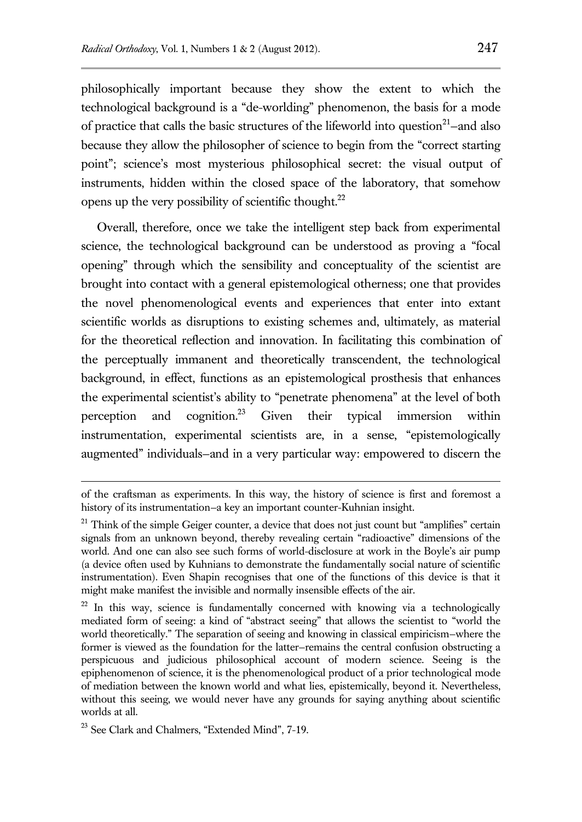philosophically important because they show the extent to which the technological background is a "de-worlding" phenomenon, the basis for a mode of practice that calls the basic structures of the lifeworld into question<sup>21</sup>-and also because they allow the philosopher of science to begin from the "correct starting point"; science's most mysterious philosophical secret: the visual output of instruments, hidden within the closed space of the laboratory, that somehow opens up the very possibility of scientific thought. $^{22}$ 

Overall, therefore, once we take the intelligent step back from experimental science, the technological background can be understood as proving a "focal opening" through which the sensibility and conceptuality of the scientist are brought into contact with a general epistemological otherness; one that provides the novel phenomenological events and experiences that enter into extant scientific worlds as disruptions to existing schemes and, ultimately, as material for the theoretical reflection and innovation. In facilitating this combination of the perceptually immanent and theoretically transcendent, the technological background, in effect, functions as an epistemological prosthesis that enhances the experimental scientist's ability to "penetrate phenomena" at the level of both perception and cognition.<sup>23</sup> Given their typical immersion within instrumentation, experimental scientists are, in a sense, "epistemologically augmented" individuals—and in a very particular way: empowered to discern the

of the craftsman as experiments. In this way, the history of science is first and foremost a history of its instrumentation–a key an important counter-Kuhnian insight.

 $21$  Think of the simple Geiger counter, a device that does not just count but "amplifies" certain signals from an unknown beyond, thereby revealing certain "radioactive" dimensions of the world. And one can also see such forms of world-disclosure at work in the Boyle's air pump (a device often used by Kuhnians to demonstrate the fundamentally social nature of scientific instrumentation). Even Shapin recognises that one of the functions of this device is that it might make manifest the invisible and normally insensible effects of the air.

 $22$  In this way, science is fundamentally concerned with knowing via a technologically mediated form of seeing: a kind of "abstract seeing" that allows the scientist to "world the world theoretically." The separation of seeing and knowing in classical empiricism—where the former is viewed as the foundation for the latter—remains the central confusion obstructing a perspicuous and judicious philosophical account of modern science. Seeing is the epiphenomenon of science, it is the phenomenological product of a prior technological mode of mediation between the known world and what lies, epistemically, beyond it. Nevertheless, without this seeing, we would never have any grounds for saying anything about scientific worlds at all.

<sup>23</sup> See Clark and Chalmers, "Extended Mind", 7-19.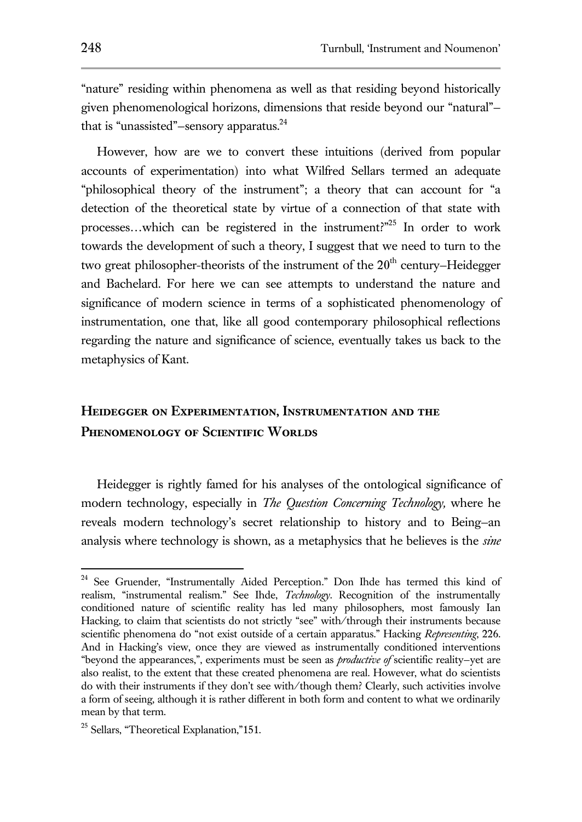"nature" residing within phenomena as well as that residing beyond historically given phenomenological horizons, dimensions that reside beyond our "natural" that is "unassisted"–sensory apparatus.<sup>24</sup>

However, how are we to convert these intuitions (derived from popular accounts of experimentation) into what Wilfred Sellars termed an adequate "philosophical theory of the instrument"; a theory that can account for "a detection of the theoretical state by virtue of a connection of that state with processes...which can be registered in the instrument?"<sup>25</sup> In order to work towards the development of such a theory, I suggest that we need to turn to the two great philosopher-theorists of the instrument of the  $20<sup>th</sup>$  century–Heidegger and Bachelard. For here we can see attempts to understand the nature and significance of modern science in terms of a sophisticated phenomenology of instrumentation, one that, like all good contemporary philosophical reflections regarding the nature and significance of science, eventually takes us back to the metaphysics of Kant.

## **Heidegger on Experimentation, Instrumentation and the Phenomenology of Scientific Worlds**

Heidegger is rightly famed for his analyses of the ontological significance of modern technology, especially in *The Question Concerning Technology,* where he reveals modern technology's secret relationship to history and to Being—an analysis where technology is shown, as a metaphysics that he believes is the *sine* 

<sup>&</sup>lt;sup>24</sup> See Gruender, "Instrumentally Aided Perception." Don Ihde has termed this kind of realism, "instrumental realism." See Ihde, *Technology*. Recognition of the instrumentally conditioned nature of scientific reality has led many philosophers, most famously Ian Hacking, to claim that scientists do not strictly "see" with/through their instruments because scientific phenomena do "not exist outside of a certain apparatus." Hacking *Representing*, 226. And in Hacking's view, once they are viewed as instrumentally conditioned interventions "beyond the appearances,", experiments must be seen as *productive of* scientific reality—yet are also realist, to the extent that these created phenomena are real. However, what do scientists do with their instruments if they don't see with/though them? Clearly, such activities involve a form of seeing, although it is rather different in both form and content to what we ordinarily mean by that term.

<sup>&</sup>lt;sup>25</sup> Sellars, "Theoretical Explanation,"151.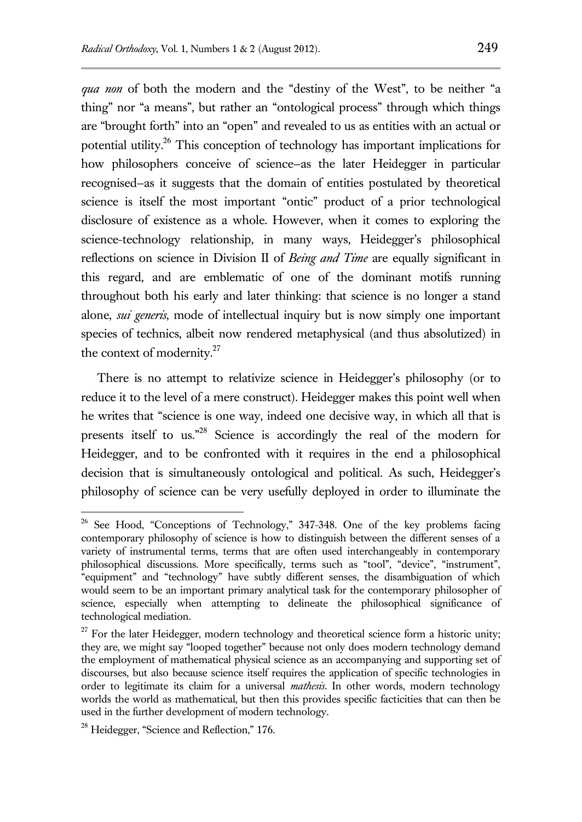*qua non* of both the modern and the "destiny of the West", to be neither "a thing" nor "a means", but rather an "ontological process" through which things are "brought forth" into an "open" and revealed to us as entities with an actual or potential utility.<sup>26</sup> This conception of technology has important implications for how philosophers conceive of science–as the later Heidegger in particular recognised—as it suggests that the domain of entities postulated by theoretical science is itself the most important "ontic" product of a prior technological disclosure of existence as a whole. However, when it comes to exploring the science-technology relationship, in many ways, Heidegger's philosophical reflections on science in Division II of *Being and Time* are equally significant in this regard, and are emblematic of one of the dominant motifs running throughout both his early and later thinking: that science is no longer a stand alone, *sui generis*, mode of intellectual inquiry but is now simply one important species of technics, albeit now rendered metaphysical (and thus absolutized) in the context of modernity.<sup>27</sup>

There is no attempt to relativize science in Heidegger's philosophy (or to reduce it to the level of a mere construct). Heidegger makes this point well when he writes that "science is one way, indeed one decisive way, in which all that is presents itself to us."<sup>28</sup> Science is accordingly the real of the modern for Heidegger, and to be confronted with it requires in the end a philosophical decision that is simultaneously ontological and political. As such, Heidegger's philosophy of science can be very usefully deployed in order to illuminate the

 $26$  See Hood, "Conceptions of Technology," 347-348. One of the key problems facing contemporary philosophy of science is how to distinguish between the different senses of a variety of instrumental terms, terms that are often used interchangeably in contemporary philosophical discussions. More specifically, terms such as "tool", "device", "instrument", "equipment" and "technology" have subtly different senses, the disambiguation of which would seem to be an important primary analytical task for the contemporary philosopher of science, especially when attempting to delineate the philosophical significance of technological mediation.

 $27$  For the later Heidegger, modern technology and theoretical science form a historic unity; they are, we might say "looped together" because not only does modern technology demand the employment of mathematical physical science as an accompanying and supporting set of discourses, but also because science itself requires the application of specific technologies in order to legitimate its claim for a universal *mathesis.* In other words, modern technology worlds the world as mathematical, but then this provides specific facticities that can then be used in the further development of modern technology.

<sup>&</sup>lt;sup>28</sup> Heidegger, "Science and Reflection," 176.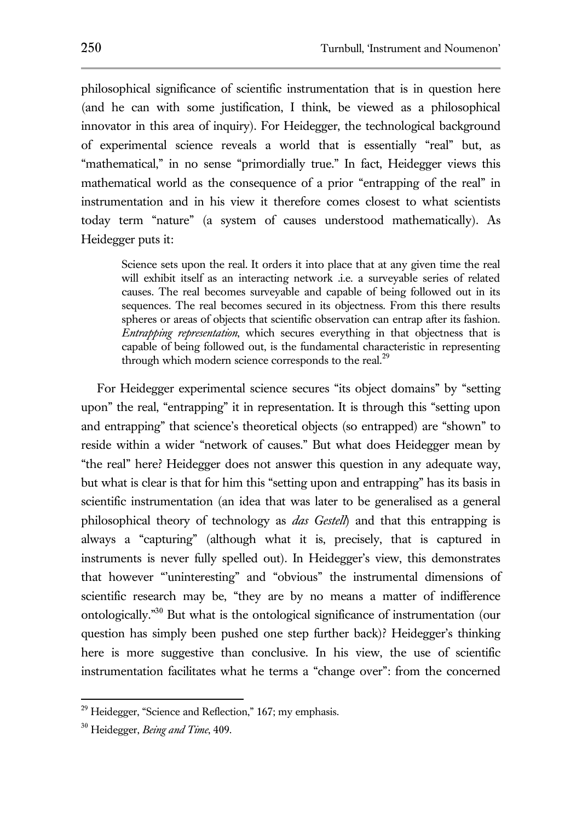philosophical significance of scientific instrumentation that is in question here (and he can with some justification, I think, be viewed as a philosophical innovator in this area of inquiry). For Heidegger, the technological background of experimental science reveals a world that is essentially "real" but, as "mathematical," in no sense "primordially true." In fact, Heidegger views this mathematical world as the consequence of a prior "entrapping of the real" in instrumentation and in his view it therefore comes closest to what scientists today term "nature" (a system of causes understood mathematically). As Heidegger puts it:

Science sets upon the real. It orders it into place that at any given time the real will exhibit itself as an interacting network .i.e. a surveyable series of related causes. The real becomes surveyable and capable of being followed out in its sequences. The real becomes secured in its objectness. From this there results spheres or areas of objects that scientific observation can entrap after its fashion. *Entrapping representation*, which secures everything in that objectness that is capable of being followed out, is the fundamental characteristic in representing through which modern science corresponds to the real.<sup>29</sup>

For Heidegger experimental science secures "its object domains" by "setting upon" the real, "entrapping" it in representation. It is through this "setting upon and entrapping" that science's theoretical objects (so entrapped) are "shown" to reside within a wider "network of causes." But what does Heidegger mean by "the real" here? Heidegger does not answer this question in any adequate way, but what is clear is that for him this "setting upon and entrapping" has its basis in scientific instrumentation (an idea that was later to be generalised as a general philosophical theory of technology as *das Gestell*) and that this entrapping is always a "capturing" (although what it is, precisely, that is captured in instruments is never fully spelled out). In Heidegger's view, this demonstrates that however "'uninteresting" and "obvious" the instrumental dimensions of scientific research may be, "they are by no means a matter of indifference ontologically." <sup>30</sup> But what is the ontological significance of instrumentation (our question has simply been pushed one step further back)? Heidegger's thinking here is more suggestive than conclusive. In his view, the use of scientific instrumentation facilitates what he terms a "change over": from the concerned

 $29$  Heidegger, "Science and Reflection," 167; my emphasis.

<sup>30</sup> Heidegger, *Being and Time*, 409.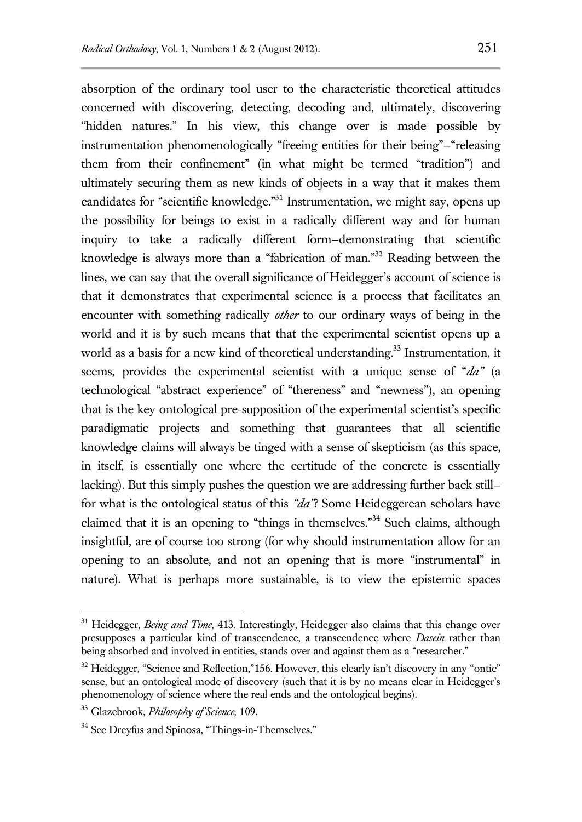absorption of the ordinary tool user to the characteristic theoretical attitudes concerned with discovering, detecting, decoding and, ultimately, discovering "hidden natures." In his view, this change over is made possible by instrumentation phenomenologically "freeing entities for their being"—"releasing them from their confinement" (in what might be termed "tradition") and ultimately securing them as new kinds of objects in a way that it makes them candidates for "scientific knowledge."<sup>31</sup> Instrumentation, we might say, opens up the possibility for beings to exist in a radically different way and for human inquiry to take a radically different form—demonstrating that scientific knowledge is always more than a "fabrication of man."<sup>32</sup> Reading between the lines, we can say that the overall significance of Heidegger's account of science is that it demonstrates that experimental science is a process that facilitates an encounter with something radically *other* to our ordinary ways of being in the world and it is by such means that that the experimental scientist opens up a world as a basis for a new kind of theoretical understanding. <sup>33</sup> Instrumentation, it seems, provides the experimental scientist with a unique sense of "*da"* (a technological "abstract experience" of "thereness" and "newness"), an opening that is the key ontological pre-supposition of the experimental scientist's specific paradigmatic projects and something that guarantees that all scientific knowledge claims will always be tinged with a sense of skepticism (as this space, in itself, is essentially one where the certitude of the concrete is essentially lacking). But this simply pushes the question we are addressing further back still for what is the ontological status of this *"da"*? Some Heideggerean scholars have claimed that it is an opening to "things in themselves."<sup>34</sup> Such claims, although insightful, are of course too strong (for why should instrumentation allow for an opening to an absolute, and not an opening that is more "instrumental" in nature). What is perhaps more sustainable, is to view the epistemic spaces

<sup>&</sup>lt;sup>31</sup> Heidegger, *Being and Time*, 413. Interestingly, Heidegger also claims that this change over presupposes a particular kind of transcendence, a transcendence where *Dasein* rather than being absorbed and involved in entities, stands over and against them as a "researcher."

 $32$  Heidegger, "Science and Reflection,"156. However, this clearly isn't discovery in any "ontic" sense, but an ontological mode of discovery (such that it is by no means clear in Heidegger's phenomenology of science where the real ends and the ontological begins).

<sup>33</sup> Glazebrook, *Philosophy of Science,* 109.

<sup>&</sup>lt;sup>34</sup> See Dreyfus and Spinosa, "Things-in-Themselves."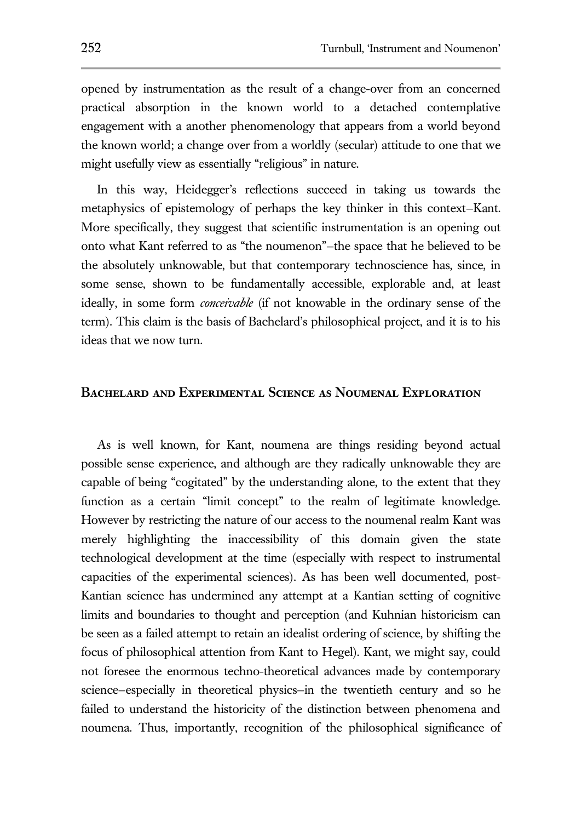opened by instrumentation as the result of a change-over from an concerned practical absorption in the known world to a detached contemplative engagement with a another phenomenology that appears from a world beyond the known world; a change over from a worldly (secular) attitude to one that we might usefully view as essentially "religious" in nature.

In this way, Heidegger's reflections succeed in taking us towards the metaphysics of epistemology of perhaps the key thinker in this context—Kant. More specifically, they suggest that scientific instrumentation is an opening out onto what Kant referred to as "the noumenon"—the space that he believed to be the absolutely unknowable, but that contemporary technoscience has, since, in some sense, shown to be fundamentally accessible, explorable and, at least ideally, in some form *conceivable* (if not knowable in the ordinary sense of the term). This claim is the basis of Bachelard's philosophical project, and it is to his ideas that we now turn.

#### **Bachelard and Experimental Science as Noumenal Exploration**

As is well known, for Kant, noumena are things residing beyond actual possible sense experience, and although are they radically unknowable they are capable of being "cogitated" by the understanding alone, to the extent that they function as a certain "limit concept" to the realm of legitimate knowledge. However by restricting the nature of our access to the noumenal realm Kant was merely highlighting the inaccessibility of this domain given the state technological development at the time (especially with respect to instrumental capacities of the experimental sciences). As has been well documented, post-Kantian science has undermined any attempt at a Kantian setting of cognitive limits and boundaries to thought and perception (and Kuhnian historicism can be seen as a failed attempt to retain an idealist ordering of science, by shifting the focus of philosophical attention from Kant to Hegel). Kant, we might say, could not foresee the enormous techno-theoretical advances made by contemporary science—especially in theoretical physics—in the twentieth century and so he failed to understand the historicity of the distinction between phenomena and noumena. Thus, importantly, recognition of the philosophical significance of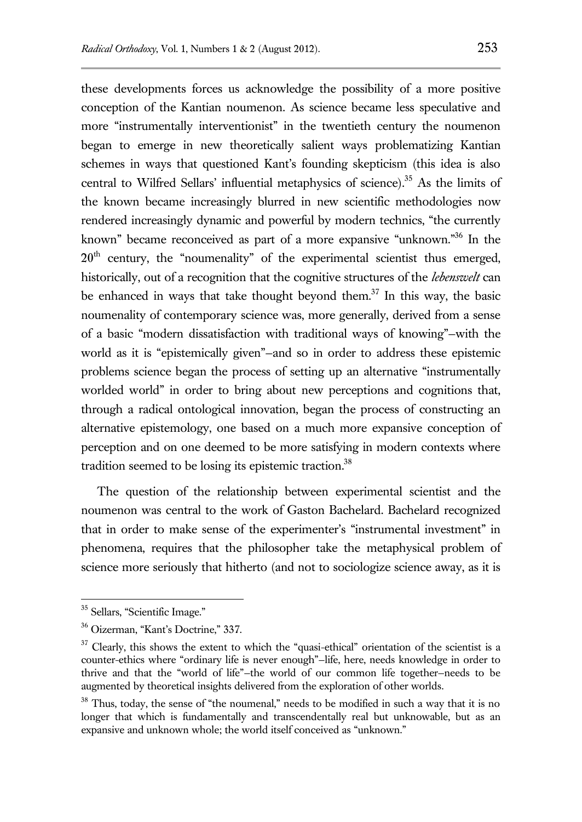these developments forces us acknowledge the possibility of a more positive conception of the Kantian noumenon. As science became less speculative and more "instrumentally interventionist" in the twentieth century the noumenon began to emerge in new theoretically salient ways problematizing Kantian schemes in ways that questioned Kant's founding skepticism (this idea is also central to Wilfred Sellars' influential metaphysics of science).<sup>35</sup> As the limits of the known became increasingly blurred in new scientific methodologies now rendered increasingly dynamic and powerful by modern technics, "the currently known" became reconceived as part of a more expansive "unknown." In the  $20<sup>th</sup>$  century, the "noumenality" of the experimental scientist thus emerged, historically, out of a recognition that the cognitive structures of the *lebenswelt* can be enhanced in ways that take thought beyond them.<sup>37</sup> In this way, the basic noumenality of contemporary science was, more generally, derived from a sense of a basic "modern dissatisfaction with traditional ways of knowing"—with the world as it is "epistemically given"—and so in order to address these epistemic problems science began the process of setting up an alternative "instrumentally worlded world" in order to bring about new perceptions and cognitions that, through a radical ontological innovation, began the process of constructing an alternative epistemology, one based on a much more expansive conception of perception and on one deemed to be more satisfying in modern contexts where tradition seemed to be losing its epistemic traction.<sup>38</sup>

The question of the relationship between experimental scientist and the noumenon was central to the work of Gaston Bachelard. Bachelard recognized that in order to make sense of the experimenter's "instrumental investment" in phenomena, requires that the philosopher take the metaphysical problem of science more seriously that hitherto (and not to sociologize science away, as it is

<sup>35</sup> Sellars, "Scientific Image."

<sup>36</sup> Oizerman, "Kant's Doctrine," 337.

<sup>&</sup>lt;sup>37</sup> Clearly, this shows the extent to which the "quasi-ethical" orientation of the scientist is a counter-ethics where "ordinary life is never enough"—life, here, needs knowledge in order to thrive and that the "world of life"—the world of our common life together—needs to be augmented by theoretical insights delivered from the exploration of other worlds.

<sup>&</sup>lt;sup>38</sup> Thus, today, the sense of "the noumenal," needs to be modified in such a way that it is no longer that which is fundamentally and transcendentally real but unknowable, but as an expansive and unknown whole; the world itself conceived as "unknown."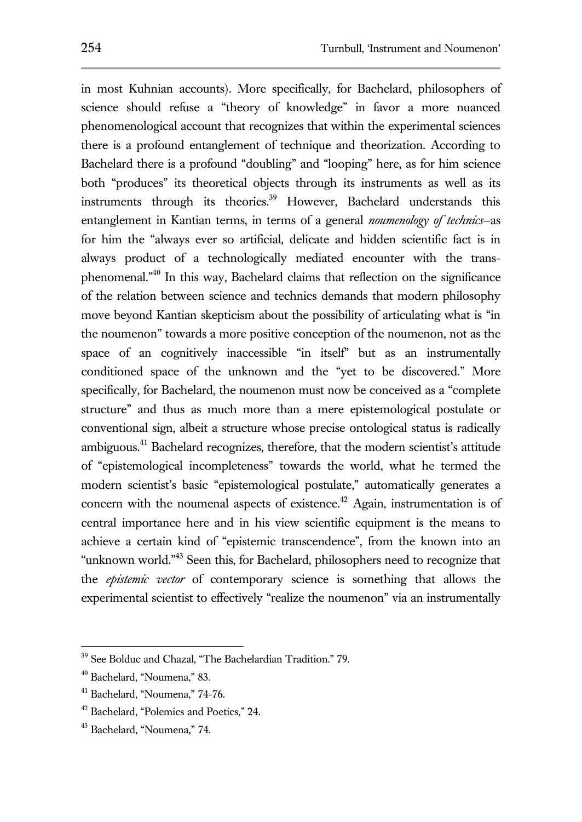in most Kuhnian accounts). More specifically, for Bachelard, philosophers of science should refuse a "theory of knowledge" in favor a more nuanced phenomenological account that recognizes that within the experimental sciences there is a profound entanglement of technique and theorization. According to Bachelard there is a profound "doubling" and "looping" here, as for him science both "produces" its theoretical objects through its instruments as well as its instruments through its theories.<sup>39</sup> However, Bachelard understands this entanglement in Kantian terms, in terms of a general *noumenology of technics*—as for him the "always ever so artificial, delicate and hidden scientific fact is in always product of a technologically mediated encounter with the transphenomenal."<sup>40</sup> In this way, Bachelard claims that reflection on the significance of the relation between science and technics demands that modern philosophy move beyond Kantian skepticism about the possibility of articulating what is "in the noumenon" towards a more positive conception of the noumenon, not as the space of an cognitively inaccessible "in itself" but as an instrumentally conditioned space of the unknown and the "yet to be discovered." More specifically, for Bachelard, the noumenon must now be conceived as a "complete structure" and thus as much more than a mere epistemological postulate or conventional sign, albeit a structure whose precise ontological status is radically ambiguous.<sup>41</sup> Bachelard recognizes, therefore, that the modern scientist's attitude of "epistemological incompleteness" towards the world, what he termed the modern scientist's basic "epistemological postulate," automatically generates a concern with the noumenal aspects of existence.<sup>42</sup> Again, instrumentation is of central importance here and in his view scientific equipment is the means to achieve a certain kind of "epistemic transcendence", from the known into an "unknown world."<sup>43</sup> Seen this, for Bachelard, philosophers need to recognize that the *epistemic vector* of contemporary science is something that allows the experimental scientist to effectively "realize the noumenon" via an instrumentally

<sup>&</sup>lt;sup>39</sup> See Bolduc and Chazal, "The Bachelardian Tradition." 79.

<sup>40</sup> Bachelard, "Noumena," 83.

<sup>41</sup> Bachelard, "Noumena," 74-76.

<sup>42</sup> Bachelard, "Polemics and Poetics," 24.

<sup>43</sup> Bachelard, "Noumena," 74.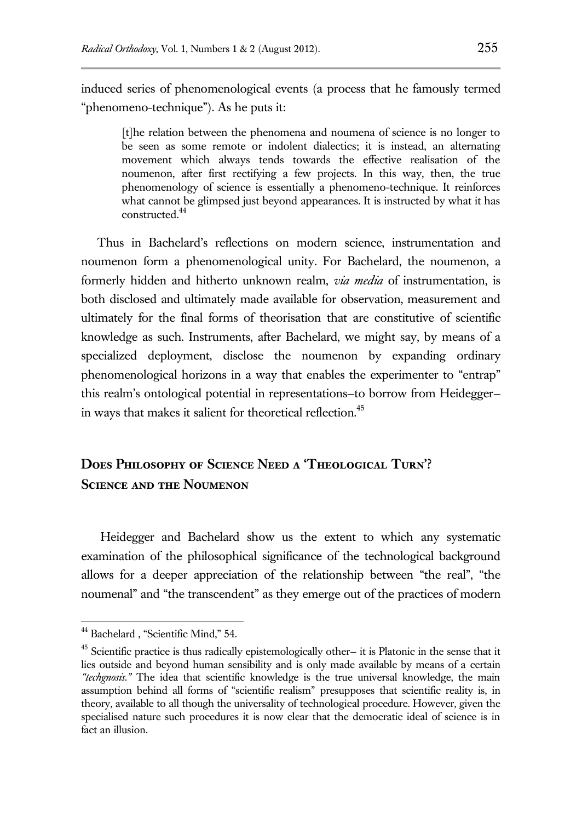induced series of phenomenological events (a process that he famously termed "phenomeno-technique"). As he puts it:

[t]he relation between the phenomena and noumena of science is no longer to be seen as some remote or indolent dialectics; it is instead, an alternating movement which always tends towards the effective realisation of the noumenon, after first rectifying a few projects. In this way, then, the true phenomenology of science is essentially a phenomeno-technique. It reinforces what cannot be glimpsed just beyond appearances. It is instructed by what it has constructed.<sup>44</sup>

Thus in Bachelard's reflections on modern science, instrumentation and noumenon form a phenomenological unity. For Bachelard, the noumenon, a formerly hidden and hitherto unknown realm, *via media* of instrumentation, is both disclosed and ultimately made available for observation, measurement and ultimately for the final forms of theorisation that are constitutive of scientific knowledge as such. Instruments, after Bachelard, we might say, by means of a specialized deployment, disclose the noumenon by expanding ordinary phenomenological horizons in a way that enables the experimenter to "entrap" this realm's ontological potential in representations—to borrow from Heidegger in ways that makes it salient for theoretical reflection.<sup>45</sup>

# **Does Philosophy of Science Need a 'Theological Turn'? Science and the Noumenon**

Heidegger and Bachelard show us the extent to which any systematic examination of the philosophical significance of the technological background allows for a deeper appreciation of the relationship between "the real", "the noumenal" and "the transcendent" as they emerge out of the practices of modern

<sup>&</sup>lt;sup>44</sup> Bachelard , "Scientific Mind," 54.

<sup>45</sup> Scientific practice is thus radically epistemologically other— it is Platonic in the sense that it lies outside and beyond human sensibility and is only made available by means of a certain *"techgnosis."* The idea that scientific knowledge is the true universal knowledge, the main assumption behind all forms of "scientific realism" presupposes that scientific reality is, in theory, available to all though the universality of technological procedure. However, given the specialised nature such procedures it is now clear that the democratic ideal of science is in fact an illusion.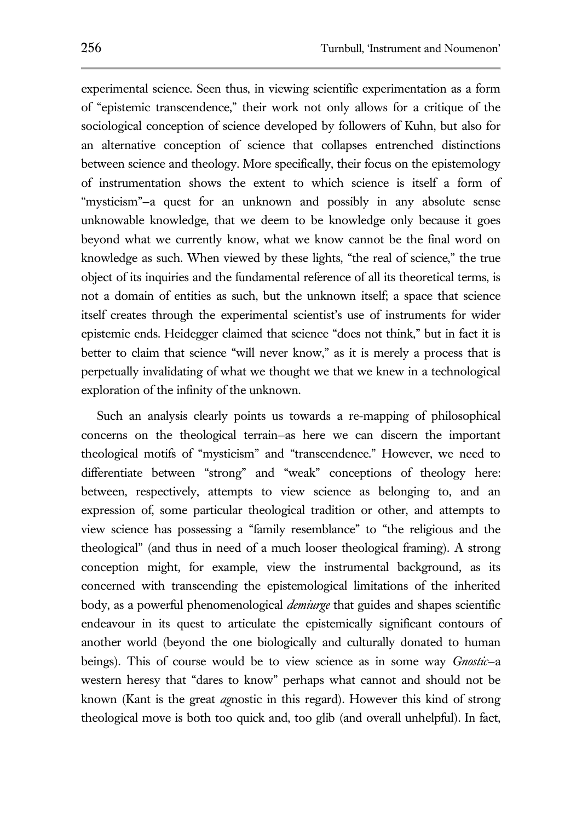experimental science. Seen thus, in viewing scientific experimentation as a form of "epistemic transcendence," their work not only allows for a critique of the sociological conception of science developed by followers of Kuhn, but also for an alternative conception of science that collapses entrenched distinctions between science and theology. More specifically, their focus on the epistemology of instrumentation shows the extent to which science is itself a form of "mysticism"—a quest for an unknown and possibly in any absolute sense unknowable knowledge, that we deem to be knowledge only because it goes beyond what we currently know, what we know cannot be the final word on knowledge as such. When viewed by these lights, "the real of science," the true object of its inquiries and the fundamental reference of all its theoretical terms, is not a domain of entities as such, but the unknown itself; a space that science itself creates through the experimental scientist's use of instruments for wider epistemic ends. Heidegger claimed that science "does not think," but in fact it is better to claim that science "will never know," as it is merely a process that is perpetually invalidating of what we thought we that we knew in a technological exploration of the infinity of the unknown.

Such an analysis clearly points us towards a re-mapping of philosophical concerns on the theological terrain—as here we can discern the important theological motifs of "mysticism" and "transcendence." However, we need to differentiate between "strong" and "weak" conceptions of theology here: between, respectively, attempts to view science as belonging to, and an expression of, some particular theological tradition or other, and attempts to view science has possessing a "family resemblance" to "the religious and the theological" (and thus in need of a much looser theological framing). A strong conception might, for example, view the instrumental background, as its concerned with transcending the epistemological limitations of the inherited body, as a powerful phenomenological *demiurge* that guides and shapes scientific endeavour in its quest to articulate the epistemically significant contours of another world (beyond the one biologically and culturally donated to human beings). This of course would be to view science as in some way *Gnostic*—a western heresy that "dares to know" perhaps what cannot and should not be known (Kant is the great *ag*nostic in this regard). However this kind of strong theological move is both too quick and, too glib (and overall unhelpful). In fact,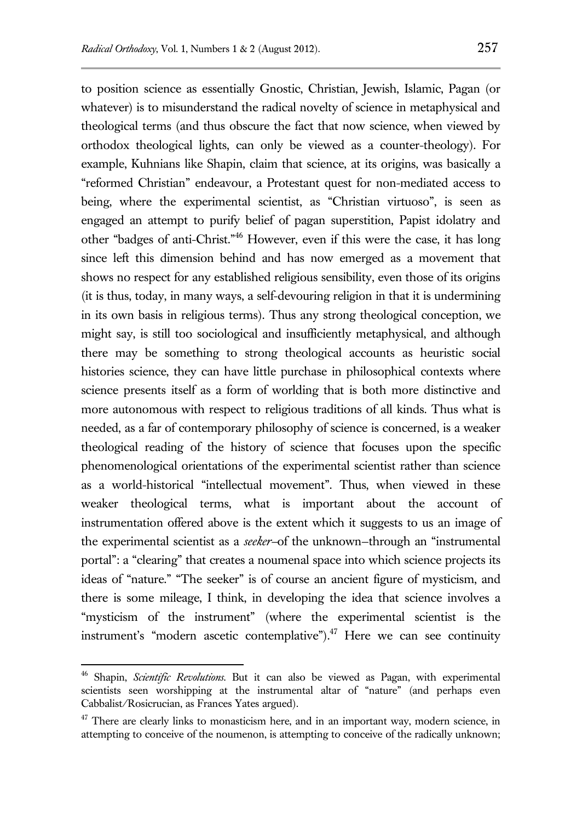to position science as essentially Gnostic, Christian, Jewish, Islamic, Pagan (or whatever) is to misunderstand the radical novelty of science in metaphysical and theological terms (and thus obscure the fact that now science, when viewed by orthodox theological lights, can only be viewed as a counter-theology). For example, Kuhnians like Shapin, claim that science, at its origins, was basically a "reformed Christian" endeavour, a Protestant quest for non-mediated access to being, where the experimental scientist, as "Christian virtuoso", is seen as engaged an attempt to purify belief of pagan superstition, Papist idolatry and other "badges of anti-Christ."<sup>46</sup> However, even if this were the case, it has long since left this dimension behind and has now emerged as a movement that shows no respect for any established religious sensibility, even those of its origins (it is thus, today, in many ways, a self-devouring religion in that it is undermining in its own basis in religious terms). Thus any strong theological conception, we might say, is still too sociological and insufficiently metaphysical, and although there may be something to strong theological accounts as heuristic social histories science, they can have little purchase in philosophical contexts where science presents itself as a form of worlding that is both more distinctive and more autonomous with respect to religious traditions of all kinds. Thus what is needed, as a far of contemporary philosophy of science is concerned, is a weaker theological reading of the history of science that focuses upon the specific phenomenological orientations of the experimental scientist rather than science as a world-historical "intellectual movement". Thus, when viewed in these weaker theological terms, what is important about the account of instrumentation offered above is the extent which it suggests to us an image of the experimental scientist as a *seeker—*of the unknown—through an "instrumental portal": a "clearing" that creates a noumenal space into which science projects its ideas of "nature." "The seeker" is of course an ancient figure of mysticism, and there is some mileage, I think, in developing the idea that science involves a "mysticism of the instrument" (where the experimental scientist is the instrument's "modern ascetic contemplative"). $^{47}$  Here we can see continuity

<sup>46</sup> Shapin, *Scientific Revolutions.* But it can also be viewed as Pagan, with experimental scientists seen worshipping at the instrumental altar of "nature" (and perhaps even Cabbalist/Rosicrucian, as Frances Yates argued).

 $47$  There are clearly links to monasticism here, and in an important way, modern science, in attempting to conceive of the noumenon, is attempting to conceive of the radically unknown;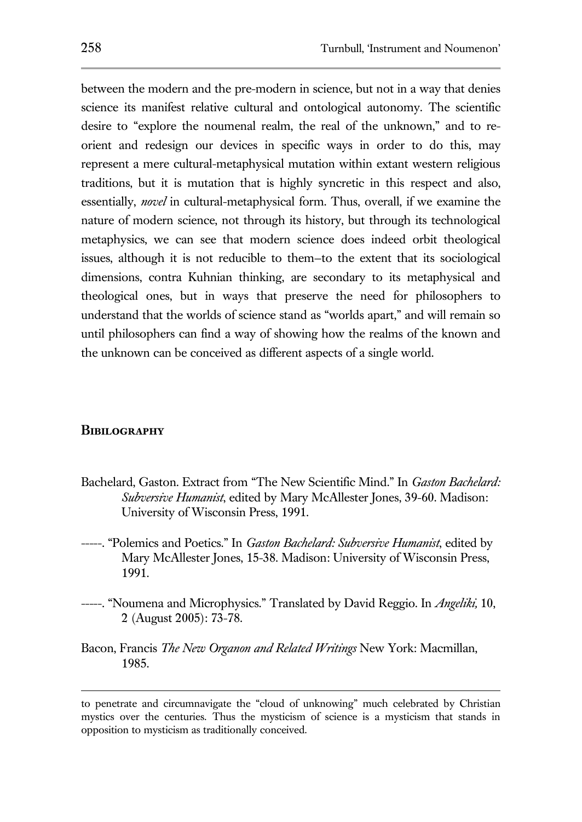between the modern and the pre-modern in science, but not in a way that denies science its manifest relative cultural and ontological autonomy. The scientific desire to "explore the noumenal realm, the real of the unknown," and to reorient and redesign our devices in specific ways in order to do this, may represent a mere cultural-metaphysical mutation within extant western religious traditions, but it is mutation that is highly syncretic in this respect and also, essentially, *novel* in cultural-metaphysical form. Thus, overall, if we examine the nature of modern science, not through its history, but through its technological metaphysics, we can see that modern science does indeed orbit theological issues, although it is not reducible to them—to the extent that its sociological dimensions, contra Kuhnian thinking, are secondary to its metaphysical and theological ones, but in ways that preserve the need for philosophers to understand that the worlds of science stand as "worlds apart," and will remain so until philosophers can find a way of showing how the realms of the known and the unknown can be conceived as different aspects of a single world.

#### **Bibilography**

- Bachelard, Gaston. Extract from "The New Scientific Mind." In *Gaston Bachelard: Subversive Humanist*, edited by Mary McAllester Jones, 39-60. Madison: University of Wisconsin Press, 1991.
- -----. "Polemics and Poetics." In *Gaston Bachelard: Subversive Humanist*, edited by Mary McAllester Jones, 15-38. Madison: University of Wisconsin Press, 1991.
- -----. "Noumena and Microphysics." Translated by David Reggio. In *Angeliki,* 10, 2 (August 2005): 73-78.
- Bacon, Francis *The New Organon and Related Writings* New York: Macmillan, 1985.

to penetrate and circumnavigate the "cloud of unknowing" much celebrated by Christian mystics over the centuries. Thus the mysticism of science is a mysticism that stands in opposition to mysticism as traditionally conceived.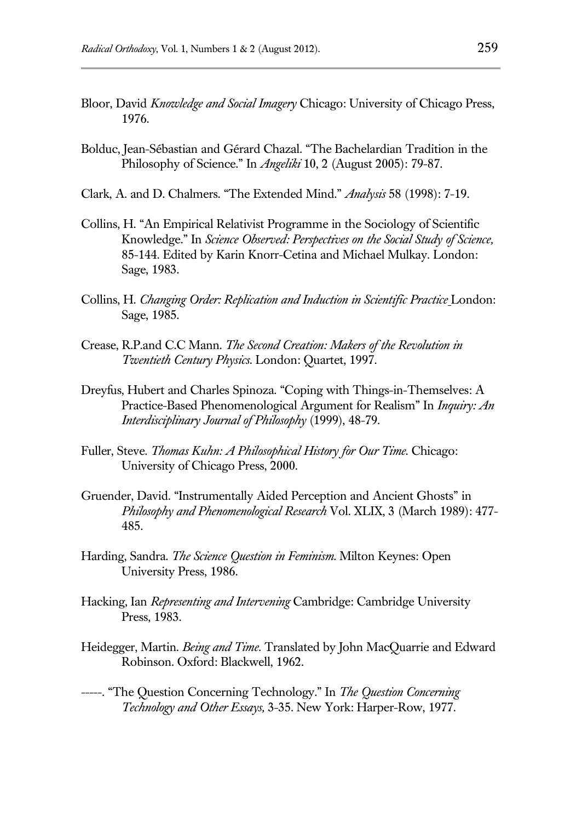- Bloor, David *Knowledge and Social Imagery* Chicago: University of Chicago Press, 1976.
- Bolduc, Jean-Sébastian and Gérard Chazal. "The Bachelardian Tradition in the Philosophy of Science." In *Angeliki* 10, 2 (August 2005): 79-87.
- Clark, A. and D. Chalmers. "The Extended Mind." *Analysis* 58 (1998): 7-19.
- Collins, H. "An Empirical Relativist Programme in the Sociology of Scientific Knowledge." In *Science Observed: Perspectives on the Social Study of Science,*  85-144. Edited by Karin Knorr-Cetina and Michael Mulkay. London: Sage, 1983.
- Collins, H. *Changing Order: Replication and Induction in Scientific Practice* London: Sage, 1985.
- Crease, R.P.and C.C Mann. *The Second Creation: Makers of the Revolution in Twentieth Century Physics*. London: Quartet, 1997.
- Dreyfus, Hubert and Charles Spinoza. "Coping with Things-in-Themselves: A Practice-Based Phenomenological Argument for Realism" In *Inquiry: An Interdisciplinary Journal of Philosophy* (1999), 48-79.
- Fuller, Steve. *Thomas Kuhn: A Philosophical History for Our Time.* Chicago: University of Chicago Press, 2000.
- Gruender, David. "Instrumentally Aided Perception and Ancient Ghosts" in *Philosophy and Phenomenological Research* Vol. XLIX, 3 (March 1989): 477- 485.
- Harding, Sandra. *The Science Question in Feminism.* Milton Keynes: Open University Press, 1986.
- Hacking, Ian *Representing and Intervening* Cambridge: Cambridge University Press, 1983.
- Heidegger, Martin. *Being and Time*. Translated by John MacQuarrie and Edward Robinson. Oxford: Blackwell, 1962.
- -----. "The Question Concerning Technology." In *The Question Concerning Technology and Other Essays,* 3-35. New York: Harper-Row, 1977.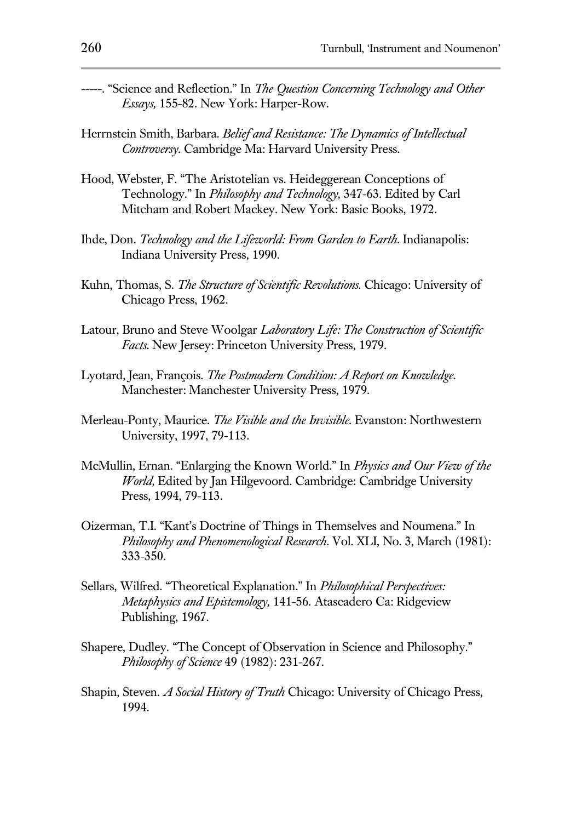- -----. "Science and Reflection." In *The Question Concerning Technology and Other Essays,* 155-82. New York: Harper-Row.
- Herrnstein Smith, Barbara. *Belief and Resistance: The Dynamics of Intellectual Controversy*. Cambridge Ma: Harvard University Press.
- Hood, Webster, F. "The Aristotelian vs. Heideggerean Conceptions of Technology." In *Philosophy and Technology,* 347-63. Edited by Carl Mitcham and Robert Mackey. New York: Basic Books, 1972.
- Ihde, Don. *Technology and the Lifeworld: From Garden to Earth*. Indianapolis: Indiana University Press, 1990.
- Kuhn, Thomas, S. *The Structure of Scientific Revolutions.* Chicago: University of Chicago Press, 1962.
- Latour, Bruno and Steve Woolgar *Laboratory Life: The Construction of Scientific Facts*. New Jersey: Princeton University Press, 1979.
- Lyotard, Jean, François. *The Postmodern Condition: A Report on Knowledge*. Manchester: Manchester University Press, 1979.
- Merleau-Ponty, Maurice. *The Visible and the Invisible*. Evanston: Northwestern University, 1997, 79-113.
- McMullin, Ernan. "Enlarging the Known World." In *Physics and Our View of the World,* Edited by Jan Hilgevoord. Cambridge: Cambridge University Press, 1994, 79-113.
- Oizerman, T.I. "Kant's Doctrine of Things in Themselves and Noumena." In *Philosophy and Phenomenological Research*. Vol. XLI, No. 3, March (1981): 333-350.
- Sellars, Wilfred. "Theoretical Explanation." In *Philosophical Perspectives: Metaphysics and Epistemology,* 141-56. Atascadero Ca: Ridgeview Publishing, 1967.
- Shapere, Dudley. "The Concept of Observation in Science and Philosophy." *Philosophy of Science* 49 (1982): 231-267.
- Shapin, Steven. *A Social History of Truth* Chicago: University of Chicago Press, 1994.